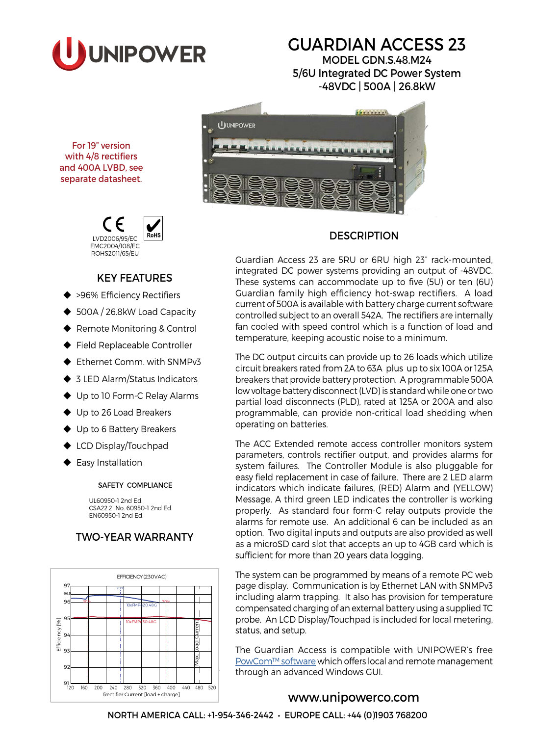

# GUARDIAN ACCESS 23

MODEL GDN.S.48.M24 5/6U Integrated DC Power System -48VDC | 500A | 26.8kW



# **DESCRIPTION**

Guardian Access 23 are 5RU or 6RU high 23" rack-mounted, integrated DC power systems providing an output of -48VDC. These systems can accommodate up to five (5U) or ten (6U) Guardian family high efficiency hot-swap rectifiers. A load current of 500A is available with battery charge current software controlled subject to an overall 542A. The rectifiers are internally fan cooled with speed control which is a function of load and temperature, keeping acoustic noise to a minimum.

The DC output circuits can provide up to 26 loads which utilize circuit breakers rated from 2A to 63A plus up to six 100A or 125A breakers that provide battery protection. A programmable 500A low voltage battery disconnect (LVD) is standard while one or two partial load disconnects (PLD), rated at 125A or 200A and also programmable, can provide non-critical load shedding when operating on batteries.

The ACC Extended remote access controller monitors system parameters, controls rectifier output, and provides alarms for system failures. The Controller Module is also pluggable for easy field replacement in case of failure. There are 2 LED alarm indicators which indicate failures, (RED) Alarm and (YELLOW) Message. A third green LED indicates the controller is working properly. As standard four form-C relay outputs provide the alarms for remote use. An additional 6 can be included as an option. Two digital inputs and outputs are also provided as well as a microSD card slot that accepts an up to 4GB card which is sufficient for more than 20 years data logging.

The system can be programmed by means of a remote PC web page display. Communication is by Ethernet LAN with SNMPv3 including alarm trapping. It also has provision for temperature compensated charging of an external battery using a supplied TC probe. An LCD Display/Touchpad is included for local metering, status, and setup.

The Guardian Access is compatible with UNIPOWER's free [PowCom™ software](http://www.unipowerco.com/pdf/powcom-ds.pdf) which offers local and remote management through an advanced Windows GUI.

# [www.unipowerco.com](http://www.unipowerco.com)

For 19" version with 4/8 rectifiers and 400A LVBD, see separate datasheet.



## KEY FEATURES

- ◆ >96% Efficiency Rectifiers
- ◆ 500A / 26.8kW Load Capacity
- ◆ Remote Monitoring & Control
- Field Replaceable Controller
- ◆ Ethernet Comm. with SNMPv3
- ◆ 3 LED Alarm/Status Indicators
- ◆ Up to 10 Form-C Relay Alarms
- ◆ Up to 26 Load Breakers
- ◆ Up to 6 Battery Breakers
- ◆ LCD Display/Touchpad
- Easy Installation

#### SAFETY COMPLIANCE

UL60950-1 2nd Ed. CSA22.2 No. 60950-1 2nd Ed. EN60950-1 2nd Ed.

# TWO-YEAR WARRANTY

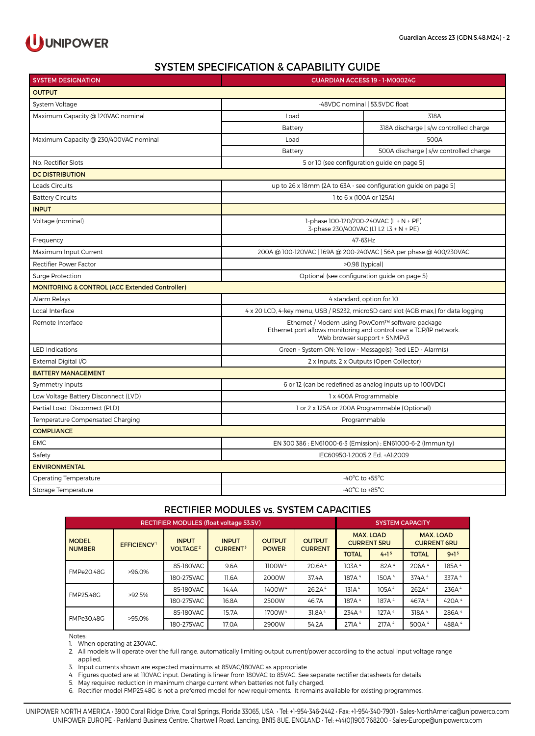

## SYSTEM SPECIFICATION & CAPABILITY GUIDE

| <b>SYSTEM DESIGNATION</b>                                 | <b>GUARDIAN ACCESS 19 - 1-M00024G</b>                                                                                                                 |                                                                 |  |  |  |  |
|-----------------------------------------------------------|-------------------------------------------------------------------------------------------------------------------------------------------------------|-----------------------------------------------------------------|--|--|--|--|
| <b>OUTPUT</b>                                             |                                                                                                                                                       |                                                                 |  |  |  |  |
| System Voltage                                            | -48VDC nominal   53.5VDC float                                                                                                                        |                                                                 |  |  |  |  |
| Maximum Capacity @ 120VAC nominal                         | Load                                                                                                                                                  | 318A                                                            |  |  |  |  |
|                                                           | Battery                                                                                                                                               | 318A discharge   s/w controlled charge                          |  |  |  |  |
| Maximum Capacity @ 230/400VAC nominal                     | Load                                                                                                                                                  | 500A                                                            |  |  |  |  |
|                                                           | Battery                                                                                                                                               | 500A discharge   s/w controlled charge                          |  |  |  |  |
| No. Rectifier Slots                                       | 5 or 10 (see configuration guide on page 5)                                                                                                           |                                                                 |  |  |  |  |
| <b>DC DISTRIBUTION</b>                                    |                                                                                                                                                       |                                                                 |  |  |  |  |
| <b>Loads Circuits</b>                                     |                                                                                                                                                       | up to 26 x 18mm (2A to 63A - see configuration guide on page 5) |  |  |  |  |
| <b>Battery Circuits</b>                                   | 1 to 6 x (100A or 125A)                                                                                                                               |                                                                 |  |  |  |  |
| <b>INPUT</b>                                              |                                                                                                                                                       |                                                                 |  |  |  |  |
| Voltage (nominal)                                         | 1-phase 100-120/200-240VAC (L + N + PE)<br>3-phase 230/400VAC (L1 L2 L3 + N + PE)                                                                     |                                                                 |  |  |  |  |
| Frequency                                                 |                                                                                                                                                       | 47-63Hz                                                         |  |  |  |  |
| Maximum Input Current                                     | 200A @ 100-120VAC   169A @ 200-240VAC   56A per phase @ 400/230VAC                                                                                    |                                                                 |  |  |  |  |
| Rectifier Power Factor                                    | >0.98 (typical)                                                                                                                                       |                                                                 |  |  |  |  |
| <b>Surge Protection</b>                                   | Optional (see configuration guide on page 5)                                                                                                          |                                                                 |  |  |  |  |
| <b>MONITORING &amp; CONTROL (ACC Extended Controller)</b> |                                                                                                                                                       |                                                                 |  |  |  |  |
| Alarm Relays                                              | 4 standard, option for 10                                                                                                                             |                                                                 |  |  |  |  |
| Local Interface                                           | 4 x 20 LCD, 4-key menu, USB / RS232, microSD card slot (4GB max,) for data logging                                                                    |                                                                 |  |  |  |  |
| Remote Interface                                          | Ethernet / Modem using PowCom™ software package<br>Ethernet port allows monitoring and control over a TCP/IP network.<br>Web browser support + SNMPv3 |                                                                 |  |  |  |  |
| <b>LED Indications</b>                                    | Green - System ON; Yellow - Message(s); Red LED - Alarm(s)                                                                                            |                                                                 |  |  |  |  |
| External Digital I/O                                      | 2 x Inputs, 2 x Outputs (Open Collector)                                                                                                              |                                                                 |  |  |  |  |
| <b>BATTERY MANAGEMENT</b>                                 |                                                                                                                                                       |                                                                 |  |  |  |  |
| Symmetry Inputs                                           | 6 or 12 (can be redefined as analog inputs up to 100VDC)                                                                                              |                                                                 |  |  |  |  |
| Low Voltage Battery Disconnect (LVD)                      | 1 x 400A Programmable                                                                                                                                 |                                                                 |  |  |  |  |
| Partial Load Disconnect (PLD)                             | 1 or 2 x 125A or 200A Programmable (Optional)                                                                                                         |                                                                 |  |  |  |  |
| Temperature Compensated Charging                          | Programmable                                                                                                                                          |                                                                 |  |  |  |  |
| <b>COMPLIANCE</b>                                         |                                                                                                                                                       |                                                                 |  |  |  |  |
| <b>EMC</b>                                                | EN 300 386 ; EN61000-6-3 (Emission) ; EN61000-6-2 (Immunity)                                                                                          |                                                                 |  |  |  |  |
| Safety                                                    | IEC60950-1:2005 2 Ed. +A1:2009                                                                                                                        |                                                                 |  |  |  |  |
| <b>ENVIRONMENTAL</b>                                      |                                                                                                                                                       |                                                                 |  |  |  |  |
| <b>Operating Temperature</b>                              | -40 $^{\circ}$ C to +55 $^{\circ}$ C                                                                                                                  |                                                                 |  |  |  |  |
| Storage Temperature                                       | -40 $^{\circ}$ C to +85 $^{\circ}$ C                                                                                                                  |                                                                 |  |  |  |  |

#### RECTIFIER MODULES vs. SYSTEM CAPACITIES

| RECTIFIER MODULES (float voltage 53.5V) |                   |                                            |                                            |                               |                                 | <b>SYSTEM CAPACITY</b>                 |                   |                                        |                   |
|-----------------------------------------|-------------------|--------------------------------------------|--------------------------------------------|-------------------------------|---------------------------------|----------------------------------------|-------------------|----------------------------------------|-------------------|
| <b>MODEL</b><br><b>NUMBER</b>           | <b>EFFICIENCY</b> | <b>INPUT</b><br><b>VOLTAGE<sup>2</sup></b> | <b>INPUT</b><br><b>CURRENT<sup>3</sup></b> | <b>OUTPUT</b><br><b>POWER</b> | <b>OUTPUT</b><br><b>CURRENT</b> | <b>MAX. LOAD</b><br><b>CURRENT 5RU</b> |                   | <b>MAX. LOAD</b><br><b>CURRENT 6RU</b> |                   |
|                                         |                   |                                            |                                            |                               |                                 | <b>TOTAL</b>                           | $4 + 15$          | <b>TOTAL</b>                           | $9+15$            |
| FMPe20.48G<br>$>96.0\%$                 | 85-180VAC         | 9.6A                                       | 1100W <sup>4</sup>                         | 20.6A <sup>4</sup>            | 103A <sup>4</sup>               | 82A <sup>4</sup>                       | 206A <sup>4</sup> | 185A <sup>4</sup>                      |                   |
|                                         | 180-275VAC        | 11.6A                                      | 2000W                                      | 37.4A                         | 187A <sup>4</sup>               | 150A <sup>4</sup>                      | 374A <sup>4</sup> | 337A 4                                 |                   |
| FMP25.48G<br>$>92.5\%$                  | 85-180VAC         | 14.4A                                      | 1400W <sup>4</sup>                         | 26.2A <sup>4</sup>            | 131A <sup>4</sup>               | 105A <sup>4</sup>                      | 262A <sup>4</sup> | 236A <sup>4</sup>                      |                   |
|                                         | 180-275VAC        | 16.8A                                      | 2500W                                      | 46.7A                         | 187A <sup>4</sup>               | 187A <sup>4</sup>                      | 467A <sup>4</sup> | 420A <sup>4</sup>                      |                   |
| FMPe30.48G<br>>95.0%                    | 85-180VAC         | 15.7A                                      | 1700W <sup>4</sup>                         | 31.8A <sup>4</sup>            | 234A <sup>4</sup>               | 127A <sup>4</sup>                      | 318A <sup>4</sup> | 286A <sup>4</sup>                      |                   |
|                                         |                   | 180-275VAC                                 | 17.0A                                      | 2900W                         | 54.2A                           | 271A <sup>4</sup>                      | 217A <sup>4</sup> | 500A <sup>4</sup>                      | 488A <sup>4</sup> |

Notes:

1. When operating at 230VAC.

2. All models will operate over the full range, automatically limiting output current/power according to the actual input voltage range applied.

3. Input currents shown are expected maximums at 85VAC/180VAC as appropriate

4. Figures quoted are at 110VAC input. Derating is linear from 180VAC to 85VAC. See separate rectifier datasheets for details

5. May required reduction in maximum charge current when batteries not fully charged.

6. Rectifier model FMP25.48G is not a preferred model for new requirements. It remains available for existing programmes.

UNIPOWER NORTH AMERICA • 3900 Coral Ridge Drive, Coral Springs, Florida 33065, USA • Tel: +1-954-346-2442 • Fax: +1-954-340-7901 • [Sales-NorthAmerica@unipowerco.com](mailto:Sales-NorthAmerica%40unipowerco.com?subject=Guardian%20Access%2019) UNIPOWER EUROPE • Parkland Business Centre, Chartwell Road, Lancing, BN15 8UE, ENGLAND • Tel: +44(0)1903 768200 • [Sales-Europe@unipowerco.com](mailto:Sales-Europe%40unipowerco.com?subject=Guardian%20Access%2019)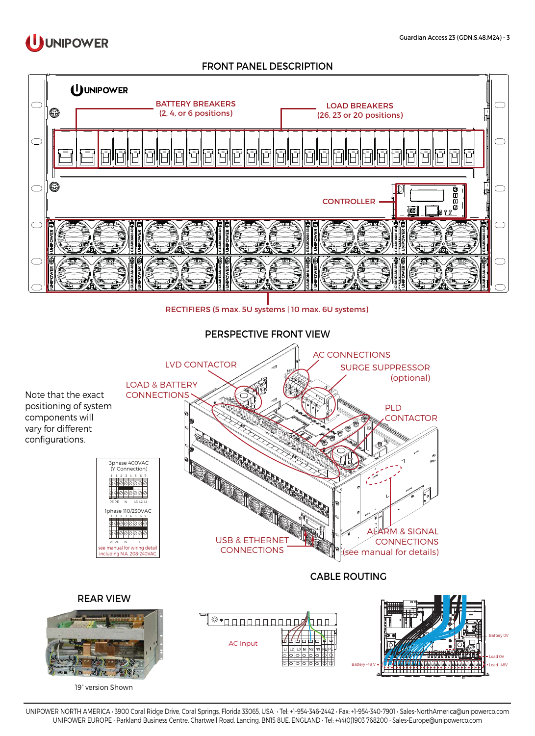

## FRONT PANEL DESCRIPTION



UNIPOWER NORTH AMERICA • 3900 Coral Ridge Drive, Coral Springs, Florida 33065, USA • Tel: +1-954-346-2442 • Fax: +1-954-340-7901 • [Sales-NorthAmerica@unipowerco.com](mailto:Sales-NorthAmerica%40unipowerco.com?subject=Guardian%20Access%2019) UNIPOWER EUROPE • Parkland Business Centre, Chartwell Road, Lancing, BN15 8UE, ENGLAND • Tel: +44(0)1903 768200 • [Sales-Europe@unipowerco.com](mailto:Sales-Europe%40unipowerco.com?subject=Guardian%20Access%2019)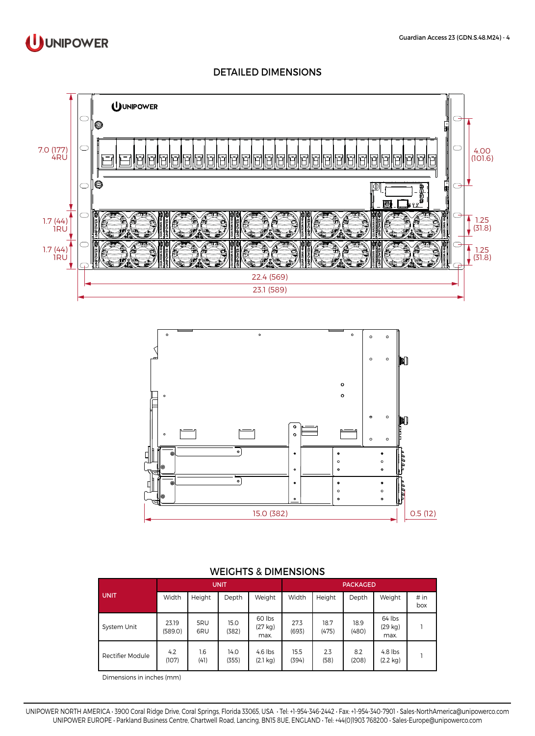

### DETAILED DIMENSIONS





#### WEIGHTS & DIMENSIONS

| <b>UNIT</b>      | <b>UNIT</b>      |             |               |                                 | <b>PACKAGED</b> |               |               |                                 |             |
|------------------|------------------|-------------|---------------|---------------------------------|-----------------|---------------|---------------|---------------------------------|-------------|
|                  | Width            | Height      | Depth         | Weight                          | Width           | Height        | Depth         | Weight                          | # in<br>box |
| System Unit      | 23.19<br>(589.0) | 5RU<br>6RU  | 15.0<br>(382) | 60 lbs<br>(27 kg)<br>max.       | 27.3<br>(693)   | 18.7<br>(475) | 18.9<br>(480) | 64 lbs<br>(29 kg)<br>max.       |             |
| Rectifier Module | 4.2<br>(107)     | 1.6<br>(41) | 14.0<br>(355) | $4.6$ lbs<br>$(2.1 \text{ kg})$ | 15.5<br>(394)   | 2.3<br>(58)   | 8.2<br>(208)  | $4.8$ lbs<br>$(2.2 \text{ kg})$ |             |

Dimensions in inches (mm)